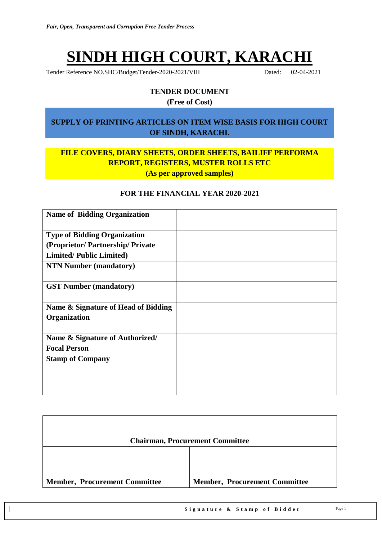# **SINDH HIGH COURT, KARACHI**

Tender Reference NO.SHC/Budget/Tender-2020-2021/VIII Dated: 02-04-2021

## **TENDER DOCUMENT**

**(Free of Cost)**

#### **SUPPLY OF PRINTING ARTICLES ON ITEM WISE BASIS FOR HIGH COURT OF SINDH, KARACHI.**

## **FILE COVERS, DIARY SHEETS, ORDER SHEETS, BAILIFF PERFORMA REPORT, REGISTERS, MUSTER ROLLS ETC (As per approved samples)**

#### **FOR THE FINANCIAL YEAR 2020-2021**

| <b>Name of Bidding Organization</b> |  |
|-------------------------------------|--|
| <b>Type of Bidding Organization</b> |  |
| (Proprietor/Partnership/Private     |  |
| <b>Limited/Public Limited)</b>      |  |
| <b>NTN Number (mandatory)</b>       |  |
| <b>GST Number (mandatory)</b>       |  |
| Name & Signature of Head of Bidding |  |
| Organization                        |  |
|                                     |  |
| Name & Signature of Authorized/     |  |
| <b>Focal Person</b>                 |  |
| <b>Stamp of Company</b>             |  |
|                                     |  |
|                                     |  |
|                                     |  |

|                                      | <b>Chairman, Procurement Committee</b> |
|--------------------------------------|----------------------------------------|
|                                      |                                        |
| <b>Member, Procurement Committee</b> | <b>Member, Procurement Committee</b>   |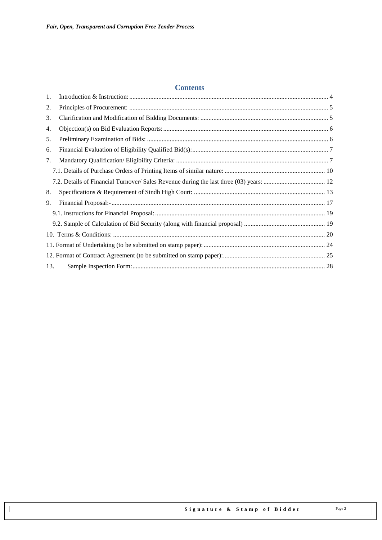#### **Contents**

| 1.  |  |
|-----|--|
| 2.  |  |
| 3.  |  |
| 4.  |  |
| 5.  |  |
| 6.  |  |
| 7.  |  |
|     |  |
|     |  |
| 8.  |  |
| 9.  |  |
|     |  |
|     |  |
|     |  |
|     |  |
|     |  |
| 13. |  |
|     |  |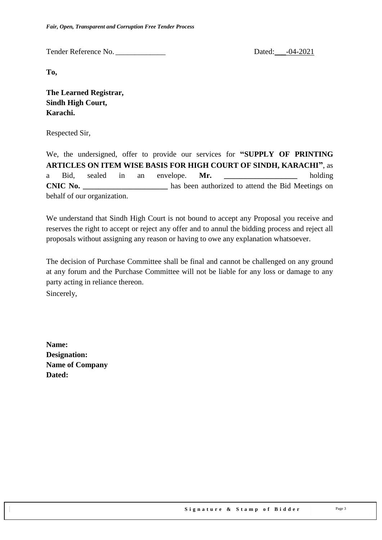*Fair, Open, Transparent and Corruption Free Tender Process*

Tender Reference No. \_\_\_\_\_\_\_\_\_\_\_\_\_ Dated:\_\_\_-04-2021

**To,** 

**The Learned Registrar, Sindh High Court, Karachi.**

Respected Sir,

We, the undersigned, offer to provide our services for **"SUPPLY OF PRINTING ARTICLES ON ITEM WISE BASIS FOR HIGH COURT OF SINDH, KARACHI"**, as a Bid, sealed in an envelope. **Mr.** holding **CNIC No. \_\_\_\_\_\_\_\_\_\_\_\_\_\_\_\_\_\_\_\_\_\_** has been authorized to attend the Bid Meetings on behalf of our organization.

We understand that Sindh High Court is not bound to accept any Proposal you receive and reserves the right to accept or reject any offer and to annul the bidding process and reject all proposals without assigning any reason or having to owe any explanation whatsoever.

The decision of Purchase Committee shall be final and cannot be challenged on any ground at any forum and the Purchase Committee will not be liable for any loss or damage to any party acting in reliance thereon.

Sincerely,

**Name: Designation: Name of Company Dated:**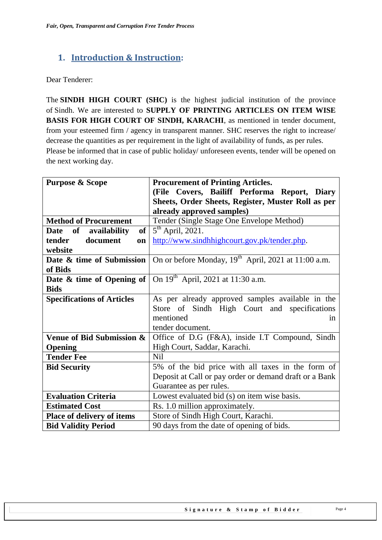## <span id="page-3-0"></span>**1. Introduction & Instruction:**

Dear Tenderer:

The **SINDH HIGH COURT (SHC)** is the highest judicial institution of the province of [Sindh.](https://en.wikipedia.org/wiki/Sindh) We are interested to **SUPPLY OF PRINTING ARTICLES ON ITEM WISE BASIS FOR HIGH COURT OF SINDH, KARACHI**, as mentioned in tender document, from your esteemed firm / agency in transparent manner. SHC reserves the right to increase/ decrease the quantities as per requirement in the light of availability of funds, as per rules. Please be informed that in case of public holiday/ unforeseen events, tender will be opened on the next working day.

| <b>Purpose &amp; Scope</b>              | <b>Procurement of Printing Articles.</b>                        |  |  |  |  |
|-----------------------------------------|-----------------------------------------------------------------|--|--|--|--|
|                                         | (File Covers, Bailiff Performa Report, Diary                    |  |  |  |  |
|                                         | Sheets, Order Sheets, Register, Muster Roll as per              |  |  |  |  |
|                                         | already approved samples)                                       |  |  |  |  |
| <b>Method of Procurement</b>            | Tender (Single Stage One Envelope Method)                       |  |  |  |  |
| $\bf of$<br>availability<br><b>Date</b> | $5th$ April, 2021.<br>of <sub>1</sub>                           |  |  |  |  |
| tender<br>document<br>on                | http://www.sindhhighcourt.gov.pk/tender.php.                    |  |  |  |  |
| website                                 |                                                                 |  |  |  |  |
| Date & time of Submission               | On or before Monday, 19 <sup>th</sup> April, 2021 at 11:00 a.m. |  |  |  |  |
| of Bids                                 |                                                                 |  |  |  |  |
| Date & time of Opening of $\vert$       | On $19^{th}$ April, 2021 at 11:30 a.m.                          |  |  |  |  |
| <b>Bids</b>                             |                                                                 |  |  |  |  |
| <b>Specifications of Articles</b>       | As per already approved samples available in the                |  |  |  |  |
|                                         | Store of Sindh High Court and specifications                    |  |  |  |  |
|                                         | mentioned<br>in                                                 |  |  |  |  |
|                                         | tender document.                                                |  |  |  |  |
| Venue of Bid Submission &               | Office of D.G (F&A), inside I.T Compound, Sindh                 |  |  |  |  |
| Opening                                 | High Court, Saddar, Karachi.                                    |  |  |  |  |
| <b>Tender Fee</b>                       | <b>Nil</b>                                                      |  |  |  |  |
| <b>Bid Security</b>                     | 5% of the bid price with all taxes in the form of               |  |  |  |  |
|                                         | Deposit at Call or pay order or demand draft or a Bank          |  |  |  |  |
|                                         | Guarantee as per rules.                                         |  |  |  |  |
| <b>Evaluation Criteria</b>              | Lowest evaluated bid (s) on item wise basis.                    |  |  |  |  |
| <b>Estimated Cost</b>                   | Rs. 1.0 million approximately.                                  |  |  |  |  |
| <b>Place of delivery of items</b>       | Store of Sindh High Court, Karachi.                             |  |  |  |  |
| <b>Bid Validity Period</b>              | 90 days from the date of opening of bids.                       |  |  |  |  |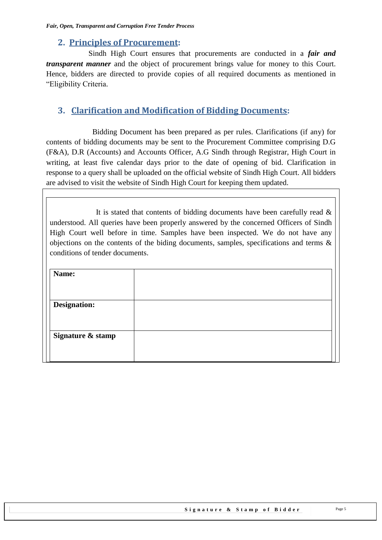## <span id="page-4-0"></span>**2. Principles of Procurement:**

 Sindh High Court ensures that procurements are conducted in a *fair and transparent manner* and the object of procurement brings value for money to this Court. Hence, bidders are directed to provide copies of all required documents as mentioned in "Eligibility Criteria.

## <span id="page-4-1"></span>**3. Clarification and Modification of Bidding Documents:**

Bidding Document has been prepared as per rules. Clarifications (if any) for contents of bidding documents may be sent to the Procurement Committee comprising D.G (F&A), D.R (Accounts) and Accounts Officer, A.G Sindh through Registrar, High Court in writing, at least five calendar days prior to the date of opening of bid. Clarification in response to a query shall be uploaded on the official website of Sindh High Court. All bidders are advised to visit the website of Sindh High Court for keeping them updated.

It is stated that contents of bidding documents have been carefully read  $\&$ understood. All queries have been properly answered by the concerned Officers of Sindh High Court well before in time. Samples have been inspected. We do not have any objections on the contents of the biding documents, samples, specifications and terms & conditions of tender documents.

| Name:               |  |
|---------------------|--|
|                     |  |
| <b>Designation:</b> |  |
|                     |  |
| Signature & stamp   |  |
|                     |  |
|                     |  |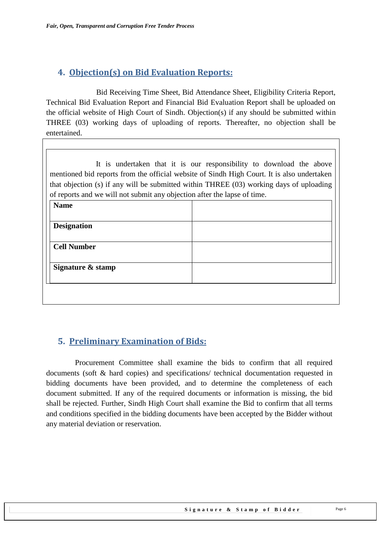## <span id="page-5-0"></span>**4. Objection(s) on Bid Evaluation Reports:**

 Bid Receiving Time Sheet, Bid Attendance Sheet, Eligibility Criteria Report, Technical Bid Evaluation Report and Financial Bid Evaluation Report shall be uploaded on the official website of High Court of Sindh. Objection(s) if any should be submitted within THREE (03) working days of uploading of reports. Thereafter, no objection shall be entertained.

It is undertaken that it is our responsibility to download the above mentioned bid reports from the official website of Sindh High Court. It is also undertaken that objection (s) if any will be submitted within THREE (03) working days of uploading of reports and we will not submit any objection after the lapse of time.

| <b>Name</b>        |  |
|--------------------|--|
|                    |  |
| <b>Designation</b> |  |
| <b>Cell Number</b> |  |
| Signature & stamp  |  |
|                    |  |

## <span id="page-5-1"></span>**5. Preliminary Examination of Bids:**

 Procurement Committee shall examine the bids to confirm that all required documents (soft & hard copies) and specifications/ technical documentation requested in bidding documents have been provided, and to determine the completeness of each document submitted. If any of the required documents or information is missing, the bid shall be rejected. Further, Sindh High Court shall examine the Bid to confirm that all terms and conditions specified in the bidding documents have been accepted by the Bidder without any material deviation or reservation.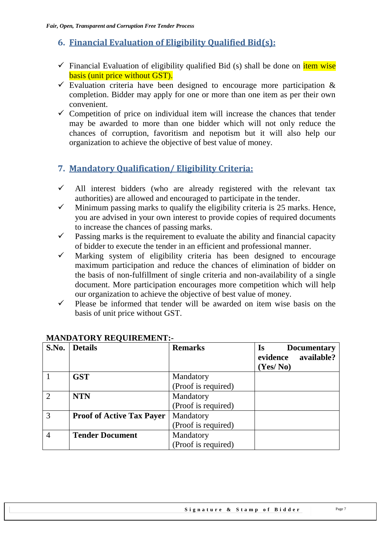## <span id="page-6-0"></span>**6. Financial Evaluation of Eligibility Qualified Bid(s):**

- $\checkmark$  Financial Evaluation of eligibility qualified Bid (s) shall be done on item wise basis (unit price without GST).
- $\checkmark$  Evaluation criteria have been designed to encourage more participation & completion. Bidder may apply for one or more than one item as per their own convenient.
- $\checkmark$  Competition of price on individual item will increase the chances that tender may be awarded to more than one bidder which will not only reduce the chances of corruption, favoritism and nepotism but it will also help our organization to achieve the objective of best value of money.

## <span id="page-6-1"></span>**7. Mandatory Qualification/ Eligibility Criteria:**

- $\checkmark$  All interest bidders (who are already registered with the relevant tax authorities) are allowed and encouraged to participate in the tender.
- $\checkmark$  Minimum passing marks to qualify the eligibility criteria is 25 marks. Hence, you are advised in your own interest to provide copies of required documents to increase the chances of passing marks.
- $\checkmark$  Passing marks is the requirement to evaluate the ability and financial capacity of bidder to execute the tender in an efficient and professional manner.
- $\checkmark$  Marking system of eligibility criteria has been designed to encourage maximum participation and reduce the chances of elimination of bidder on the basis of non-fulfillment of single criteria and non-availability of a single document. More participation encourages more competition which will help our organization to achieve the objective of best value of money.
- $\checkmark$  Please be informed that tender will be awarded on item wise basis on the basis of unit price without GST.

| S.No.          | <b>Details</b>                   | <b>Remarks</b>      | <b>Is</b><br><b>Documentary</b><br>available?<br>evidence<br>(Yes/No) |
|----------------|----------------------------------|---------------------|-----------------------------------------------------------------------|
|                | <b>GST</b>                       | Mandatory           |                                                                       |
|                |                                  | (Proof is required) |                                                                       |
| $\overline{2}$ | <b>NTN</b>                       | Mandatory           |                                                                       |
|                |                                  | (Proof is required) |                                                                       |
| 3              | <b>Proof of Active Tax Payer</b> | Mandatory           |                                                                       |
|                |                                  | (Proof is required) |                                                                       |
| 4              | <b>Tender Document</b>           | Mandatory           |                                                                       |
|                |                                  | (Proof is required) |                                                                       |

#### **MANDATORY REQUIREMENT:-**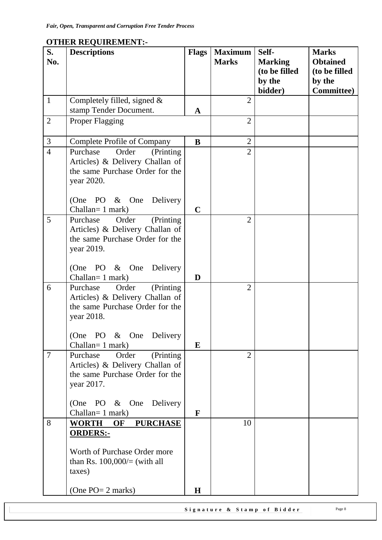|                |                                                                                                                                                                        |              |                | (to be filled<br>by the | <b>Obtained</b><br>(to be filled<br>by the |
|----------------|------------------------------------------------------------------------------------------------------------------------------------------------------------------------|--------------|----------------|-------------------------|--------------------------------------------|
|                |                                                                                                                                                                        |              |                | bidder)                 | <b>Committee</b> )                         |
| $\mathbf{1}$   | Completely filled, signed $&$                                                                                                                                          |              | $\overline{2}$ |                         |                                            |
|                | stamp Tender Document.                                                                                                                                                 | $\mathbf{A}$ |                |                         |                                            |
| $\overline{2}$ | Proper Flagging                                                                                                                                                        |              | $\overline{2}$ |                         |                                            |
| $\mathfrak{Z}$ | <b>Complete Profile of Company</b>                                                                                                                                     | $\bf{B}$     | $\overline{2}$ |                         |                                            |
| $\overline{4}$ | Order<br>(Printing<br>Purchase<br>Articles) & Delivery Challan of<br>the same Purchase Order for the<br>year 2020.<br>(One PO & One<br>Delivery<br>Challan= 1 mark)    | $\mathbf C$  | $\overline{2}$ |                         |                                            |
| 5              | (Printing)<br>Order<br>Purchase<br>Articles) & Delivery Challan of<br>the same Purchase Order for the<br>year 2019.<br>(One PO & One<br>Delivery<br>Challan= 1 mark)   | D            | $\overline{2}$ |                         |                                            |
| 6              | (Printing)<br>Order<br>Purchase<br>Articles) & Delivery Challan of<br>the same Purchase Order for the<br>year 2018.<br>(One PO & One Delivery<br>Challan= 1 mark)      | E            | $\overline{2}$ |                         |                                            |
| $\overline{7}$ | Order<br>(Printing<br>Purchase<br>Articles) & Delivery Challan of<br>the same Purchase Order for the<br>year 2017.<br>(One PO & One<br>Delivery<br>Challan = $1$ mark) | F            | $\overline{2}$ |                         |                                            |
| 8              | <b>PURCHASE</b><br>WORTH<br>OF<br><b>ORDERS:-</b><br>Worth of Purchase Order more<br>than Rs. $100,000/=($ with all<br>taxes)<br>(One $PO = 2$ marks)                  | $\mathbf H$  | 10             |                         |                                            |

## **OTHER REQUIREMENT:-**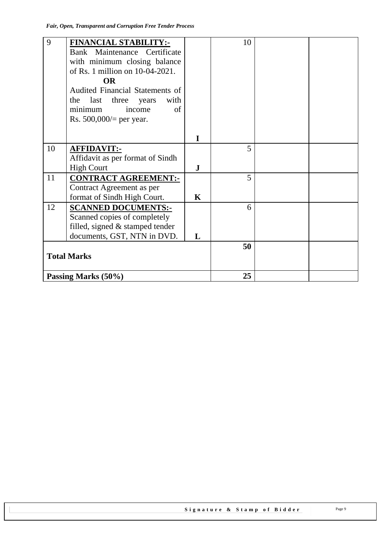| 9                  | <b>FINANCIAL STABILITY:-</b>           |              | 10 |  |
|--------------------|----------------------------------------|--------------|----|--|
|                    | Bank Maintenance Certificate           |              |    |  |
|                    | with minimum closing balance           |              |    |  |
|                    | of Rs. 1 million on 10-04-2021.        |              |    |  |
|                    | <b>OR</b>                              |              |    |  |
|                    | <b>Audited Financial Statements of</b> |              |    |  |
|                    | with<br>last three<br>the<br>years     |              |    |  |
|                    | minimum<br>of<br>income                |              |    |  |
|                    | Rs. $500,000/$ per year.               |              |    |  |
|                    |                                        |              |    |  |
|                    |                                        | $\mathbf{I}$ |    |  |
| 10                 | <b>AFFIDAVIT:-</b>                     |              | 5  |  |
|                    | Affidavit as per format of Sindh       |              |    |  |
|                    | <b>High Court</b>                      | $\bf J$      |    |  |
| 11                 | <b>CONTRACT AGREEMENT:-</b>            |              | 5  |  |
|                    | Contract Agreement as per              |              |    |  |
|                    | format of Sindh High Court.            | $\mathbf K$  |    |  |
| 12                 | <b>SCANNED DOCUMENTS:-</b>             |              | 6  |  |
|                    | Scanned copies of completely           |              |    |  |
|                    | filled, signed $&$ stamped tender      |              |    |  |
|                    | documents, GST, NTN in DVD.            | L            |    |  |
|                    |                                        |              | 50 |  |
| <b>Total Marks</b> |                                        |              |    |  |
|                    |                                        |              |    |  |
|                    | Passing Marks (50%)                    |              | 25 |  |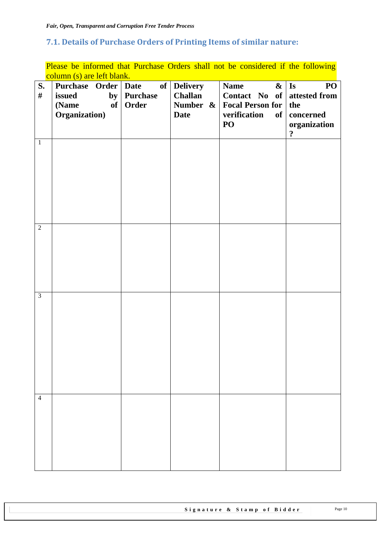## <span id="page-9-0"></span>**7.1. Details of Purchase Orders of Printing Items of similar nature:**

Please be informed that Purchase Orders shall not be considered if the following column (s) are left blank.

| S.<br>$\#$     | $\frac{1}{2}$ cordinal $\frac{1}{2}$ and $\frac{1}{2}$ or $\frac{1}{2}$ or $\frac{1}{2}$<br>Purchase Order   Date<br>issued<br>by<br>(Name<br>of<br>Organization) | <b>Purchase</b><br>Order | of Delivery<br>Challan<br>Number &<br><b>Date</b> | <b>Name</b><br>Contact No of attested from<br><b>Focal Person for</b><br>verification<br>PO | $\mathbf{\&}$   Is<br>PO <sub>1</sub><br>the<br>of   concerned<br>organization<br>$\ddot{\mathbf{c}}$ |
|----------------|-------------------------------------------------------------------------------------------------------------------------------------------------------------------|--------------------------|---------------------------------------------------|---------------------------------------------------------------------------------------------|-------------------------------------------------------------------------------------------------------|
| $1\,$          |                                                                                                                                                                   |                          |                                                   |                                                                                             |                                                                                                       |
| $\overline{2}$ |                                                                                                                                                                   |                          |                                                   |                                                                                             |                                                                                                       |
| $\overline{3}$ |                                                                                                                                                                   |                          |                                                   |                                                                                             |                                                                                                       |
| $\overline{4}$ |                                                                                                                                                                   |                          |                                                   |                                                                                             |                                                                                                       |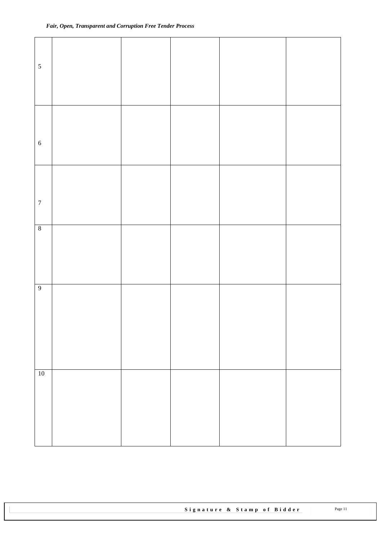| $\sqrt{5}$       |  |  |  |
|------------------|--|--|--|
| $\sqrt{6}$       |  |  |  |
| $\boldsymbol{7}$ |  |  |  |
| $8\,$            |  |  |  |
| $\overline{9}$   |  |  |  |
| $10\,$           |  |  |  |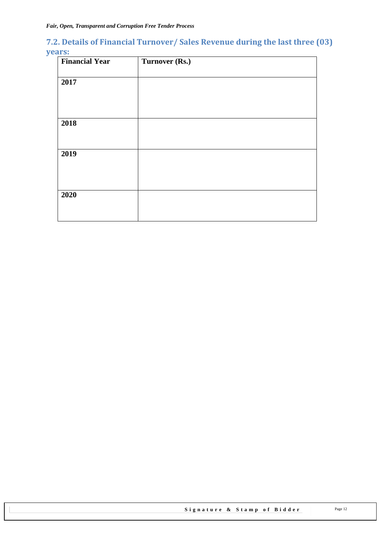## <span id="page-11-0"></span>**7.2. Details of Financial Turnover/ Sales Revenue during the last three (03) years:**

| <b>Financial Year</b> | Turnover (Rs.) |
|-----------------------|----------------|
|                       |                |
| 2017                  |                |
|                       |                |
|                       |                |
|                       |                |
| 2018                  |                |
|                       |                |
|                       |                |
| 2019                  |                |
|                       |                |
|                       |                |
|                       |                |
| 2020                  |                |
|                       |                |
|                       |                |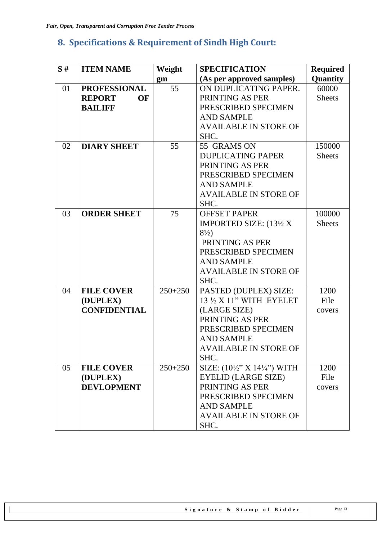## <span id="page-12-0"></span>**8. Specifications & Requirement of Sindh High Court:**

| S# | <b>ITEM NAME</b>    | Weight    | <b>SPECIFICATION</b>          | <b>Required</b> |
|----|---------------------|-----------|-------------------------------|-----------------|
|    |                     | gm        | (As per approved samples)     | Quantity        |
| 01 | <b>PROFESSIONAL</b> | 55        | ON DUPLICATING PAPER.         | 60000           |
|    | <b>REPORT</b><br>OF |           | PRINTING AS PER               | <b>Sheets</b>   |
|    | <b>BAILIFF</b>      |           | PRESCRIBED SPECIMEN           |                 |
|    |                     |           | <b>AND SAMPLE</b>             |                 |
|    |                     |           | <b>AVAILABLE IN STORE OF</b>  |                 |
|    |                     |           | SHC.                          |                 |
| 02 | <b>DIARY SHEET</b>  | 55        | 55 GRAMS ON                   | 150000          |
|    |                     |           | <b>DUPLICATING PAPER</b>      | <b>Sheets</b>   |
|    |                     |           | PRINTING AS PER               |                 |
|    |                     |           | PRESCRIBED SPECIMEN           |                 |
|    |                     |           | <b>AND SAMPLE</b>             |                 |
|    |                     |           | <b>AVAILABLE IN STORE OF</b>  |                 |
|    |                     |           | SHC.                          |                 |
| 03 | <b>ORDER SHEET</b>  | 75        | <b>OFFSET PAPER</b>           | 100000          |
|    |                     |           | <b>IMPORTED SIZE: (13½ X)</b> | <b>Sheets</b>   |
|    |                     |           | $8\frac{1}{2}$                |                 |
|    |                     |           | PRINTING AS PER               |                 |
|    |                     |           | PRESCRIBED SPECIMEN           |                 |
|    |                     |           | <b>AND SAMPLE</b>             |                 |
|    |                     |           | <b>AVAILABLE IN STORE OF</b>  |                 |
|    |                     |           | SHC.                          |                 |
| 04 | <b>FILE COVER</b>   | $250+250$ | PASTED (DUPLEX) SIZE:         | 1200            |
|    | (DUPLEX)            |           | 13 ½ X 11" WITH EYELET        | File            |
|    | <b>CONFIDENTIAL</b> |           | (LARGE SIZE)                  | covers          |
|    |                     |           | PRINTING AS PER               |                 |
|    |                     |           | PRESCRIBED SPECIMEN           |                 |
|    |                     |           | <b>AND SAMPLE</b>             |                 |
|    |                     |           | AVAILABLE IN STORE OF         |                 |
|    |                     |           | SHC.                          |                 |
| 05 | <b>FILE COVER</b>   | $250+250$ | SIZE: (10½" X 14½") WITH      | 1200            |
|    | (DUPLEX)            |           | <b>EYELID (LARGE SIZE)</b>    | File            |
|    | <b>DEVLOPMENT</b>   |           | PRINTING AS PER               | covers          |
|    |                     |           | PRESCRIBED SPECIMEN           |                 |
|    |                     |           | <b>AND SAMPLE</b>             |                 |
|    |                     |           | <b>AVAILABLE IN STORE OF</b>  |                 |
|    |                     |           | SHC.                          |                 |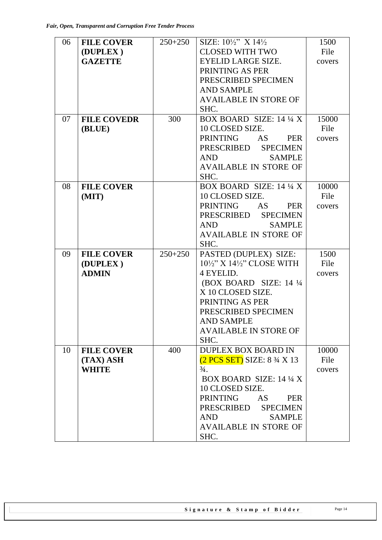| 06 | <b>FILE COVER</b>  | $250+250$ | SIZE: $10\frac{1}{2}$ $X$ $14\frac{1}{2}$        | 1500   |
|----|--------------------|-----------|--------------------------------------------------|--------|
|    | (DUPLEX)           |           | <b>CLOSED WITH TWO</b>                           | File   |
|    | <b>GAZETTE</b>     |           | EYELID LARGE SIZE.                               | covers |
|    |                    |           | PRINTING AS PER                                  |        |
|    |                    |           | PRESCRIBED SPECIMEN                              |        |
|    |                    |           | <b>AND SAMPLE</b>                                |        |
|    |                    |           | <b>AVAILABLE IN STORE OF</b>                     |        |
|    |                    |           | SHC.                                             |        |
| 07 | <b>FILE COVEDR</b> | 300       | BOX BOARD SIZE: 14 1/4 X                         | 15000  |
|    | (BLUE)             |           | 10 CLOSED SIZE.                                  | File   |
|    |                    |           | <b>PRINTING</b><br><b>AS</b><br><b>PER</b>       | covers |
|    |                    |           | PRESCRIBED SPECIMEN                              |        |
|    |                    |           | AND<br><b>SAMPLE</b>                             |        |
|    |                    |           | <b>AVAILABLE IN STORE OF</b>                     |        |
|    |                    |           | SHC.                                             |        |
| 08 | <b>FILE COVER</b>  |           | BOX BOARD SIZE: 14 1/4 X                         | 10000  |
|    | (MIT)              |           | 10 CLOSED SIZE.                                  | File   |
|    |                    |           | <b>PRINTING</b><br>AS 5<br><b>PER</b>            | covers |
|    |                    |           | PRESCRIBED SPECIMEN                              |        |
|    |                    |           | <b>AND</b><br><b>SAMPLE</b>                      |        |
|    |                    |           | <b>AVAILABLE IN STORE OF</b>                     |        |
|    |                    |           | SHC.                                             |        |
| 09 | <b>FILE COVER</b>  | $250+250$ | PASTED (DUPLEX) SIZE:                            | 1500   |
|    | (DUPLEX)           |           | $10\frac{1}{2}$ " X $14\frac{1}{2}$ " CLOSE WITH | File   |
|    | <b>ADMIN</b>       |           | 4 EYELID.                                        | covers |
|    |                    |           | (BOX BOARD SIZE: 14 1/4)                         |        |
|    |                    |           | X 10 CLOSED SIZE.                                |        |
|    |                    |           | PRINTING AS PER                                  |        |
|    |                    |           | PRESCRIBED SPECIMEN                              |        |
|    |                    |           | <b>AND SAMPLE</b>                                |        |
|    |                    |           | <b>AVAILABLE IN STORE OF</b>                     |        |
|    |                    |           | SHC.                                             |        |
| 10 | <b>FILE COVER</b>  | 400       | <b>DUPLEX BOX BOARD IN</b>                       | 10000  |
|    | (TAX) ASH          |           | $(2 PCS SET)$ SIZE: $8\frac{3}{4}$ X 13          | File   |
|    | <b>WHITE</b>       |           | $\frac{3}{4}$ .                                  | covers |
|    |                    |           | <b>BOX BOARD SIZE: 14 1/4 X</b>                  |        |
|    |                    |           | 10 CLOSED SIZE.                                  |        |
|    |                    |           | <b>PRINTING</b><br><b>PER</b><br>AS              |        |
|    |                    |           | PRESCRIBED SPECIMEN                              |        |
|    |                    |           | <b>SAMPLE</b><br><b>AND</b>                      |        |
|    |                    |           | <b>AVAILABLE IN STORE OF</b>                     |        |
|    |                    |           | SHC.                                             |        |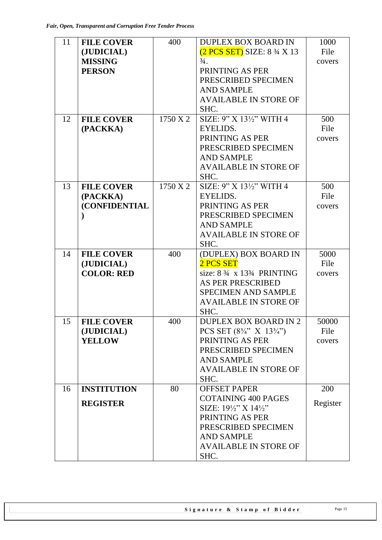| 11 | <b>FILE COVER</b>     | 400      | <b>DUPLEX BOX BOARD IN</b>                         | 1000     |
|----|-----------------------|----------|----------------------------------------------------|----------|
|    | (JUDICIAL)            |          | $(2 PCS SET)$ SIZE: $8\frac{3}{4}$ X 13            | File     |
|    | <b>MISSING</b>        |          | $\frac{3}{4}$ .                                    | covers   |
|    | <b>PERSON</b>         |          | PRINTING AS PER                                    |          |
|    |                       |          | PRESCRIBED SPECIMEN                                |          |
|    |                       |          | <b>AND SAMPLE</b>                                  |          |
|    |                       |          | <b>AVAILABLE IN STORE OF</b>                       |          |
|    |                       |          | SHC.                                               |          |
| 12 | <b>FILE COVER</b>     | 1750 X 2 | SIZE: 9" X 131/2" WITH 4                           | 500      |
|    | (PACKKA)              |          | EYELIDS.                                           | File     |
|    |                       |          | PRINTING AS PER                                    | covers   |
|    |                       |          | PRESCRIBED SPECIMEN                                |          |
|    |                       |          | <b>AND SAMPLE</b>                                  |          |
|    |                       |          | <b>AVAILABLE IN STORE OF</b>                       |          |
|    |                       |          | SHC.                                               |          |
| 13 | <b>FILE COVER</b>     | 1750 X 2 | SIZE: 9" X 131/2" WITH 4                           | 500      |
|    | (PACKKA)              |          | EYELIDS.                                           | File     |
|    | <b>(CONFIDENTIAL)</b> |          | PRINTING AS PER                                    | covers   |
|    |                       |          | PRESCRIBED SPECIMEN                                |          |
|    |                       |          | <b>AND SAMPLE</b>                                  |          |
|    |                       |          | <b>AVAILABLE IN STORE OF</b>                       |          |
|    |                       |          | SHC.                                               |          |
| 14 | <b>FILE COVER</b>     | 400      | (DUPLEX) BOX BOARD IN                              | 5000     |
|    | (JUDICIAL)            |          | 2 PCS SET                                          | File     |
|    | <b>COLOR: RED</b>     |          | size: $8\frac{3}{4} \times 13\frac{3}{4}$ PRINTING | covers   |
|    |                       |          | <b>AS PER PRESCRIBED</b>                           |          |
|    |                       |          | <b>SPECIMEN AND SAMPLE</b>                         |          |
|    |                       |          | <b>AVAILABLE IN STORE OF</b>                       |          |
|    |                       |          | SHC.                                               |          |
| 15 | <b>FILE COVER</b>     | 400      | <b>DUPLEX BOX BOARD IN 2</b>                       | 50000    |
|    | (JUDICIAL)            |          | PCS SET $(8\frac{3}{4}$ " X $13\frac{3}{4}$ ")     | File     |
|    | <b>YELLOW</b>         |          | PRINTING AS PER                                    | covers   |
|    |                       |          | PRESCRIBED SPECIMEN                                |          |
|    |                       |          | <b>AND SAMPLE</b>                                  |          |
|    |                       |          | <b>AVAILABLE IN STORE OF</b>                       |          |
|    |                       |          | SHC.                                               |          |
| 16 | <b>INSTITUTION</b>    | 80       | <b>OFFSET PAPER</b>                                | 200      |
|    |                       |          | <b>COTAINING 400 PAGES</b>                         |          |
|    | <b>REGISTER</b>       |          | SIZE: 191/2" X 141/2"                              | Register |
|    |                       |          | PRINTING AS PER                                    |          |
|    |                       |          | PRESCRIBED SPECIMEN                                |          |
|    |                       |          | <b>AND SAMPLE</b>                                  |          |
|    |                       |          | <b>AVAILABLE IN STORE OF</b>                       |          |
|    |                       |          | SHC.                                               |          |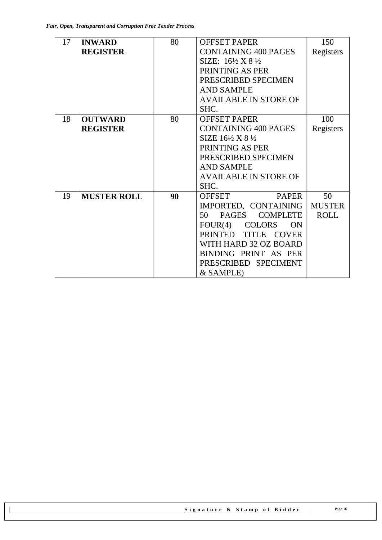| 17 | <b>INWARD</b>      | 80 | <b>OFFSET PAPER</b>                     | 150           |
|----|--------------------|----|-----------------------------------------|---------------|
|    | <b>REGISTER</b>    |    | <b>CONTAINING 400 PAGES</b>             | Registers     |
|    |                    |    | SIZE: $16\frac{1}{2}$ X 8 $\frac{1}{2}$ |               |
|    |                    |    | PRINTING AS PER                         |               |
|    |                    |    | PRESCRIBED SPECIMEN                     |               |
|    |                    |    | <b>AND SAMPLE</b>                       |               |
|    |                    |    | <b>AVAILABLE IN STORE OF</b>            |               |
|    |                    |    | SHC.                                    |               |
| 18 | <b>OUTWARD</b>     | 80 | <b>OFFSET PAPER</b>                     | 100           |
|    | <b>REGISTER</b>    |    | <b>CONTAINING 400 PAGES</b>             | Registers     |
|    |                    |    | SIZE $16\frac{1}{2}$ X 8 $\frac{1}{2}$  |               |
|    |                    |    | PRINTING AS PER                         |               |
|    |                    |    | PRESCRIBED SPECIMEN                     |               |
|    |                    |    | <b>AND SAMPLE</b>                       |               |
|    |                    |    | <b>AVAILABLE IN STORE OF</b>            |               |
|    |                    |    | SHC.                                    |               |
| 19 | <b>MUSTER ROLL</b> | 90 | <b>OFFSET</b><br><b>PAPER</b>           | 50            |
|    |                    |    | IMPORTED, CONTAINING                    | <b>MUSTER</b> |
|    |                    |    | PAGES COMPLETE<br>50                    | <b>ROLL</b>   |
|    |                    |    | FOUR(4) COLORS<br><b>ON</b>             |               |
|    |                    |    | <b>PRINTED</b><br>TITLE COVER           |               |
|    |                    |    | WITH HARD 32 OZ BOARD                   |               |
|    |                    |    | BINDING PRINT AS PER                    |               |
|    |                    |    | PRESCRIBED SPECIMENT                    |               |
|    |                    |    | & SAMPLE)                               |               |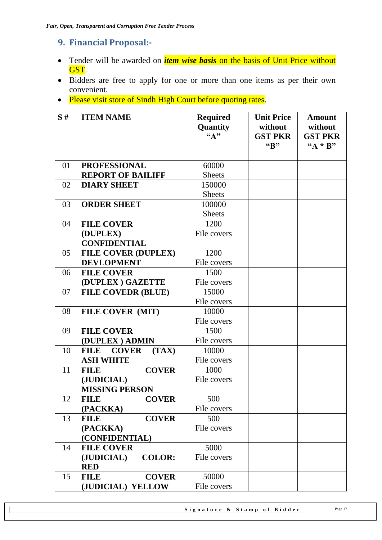## <span id="page-16-0"></span>**9. Financial Proposal:-**

- Tender will be awarded on *item wise basis* on the basis of Unit Price without GST.
- Bidders are free to apply for one or more than one items as per their own convenient.
- Please visit store of Sindh High Court before quoting rates.

| S# | <b>ITEM NAME</b>                          | <b>Required</b><br>Quantity<br>$\mathbf{G}(\mathbf{A})$ | <b>Unit Price</b><br>without<br><b>GST PKR</b><br>"B" | <b>Amount</b><br>without<br><b>GST PKR</b><br>" $A * B"$ |
|----|-------------------------------------------|---------------------------------------------------------|-------------------------------------------------------|----------------------------------------------------------|
| 01 | <b>PROFESSIONAL</b>                       | 60000                                                   |                                                       |                                                          |
|    | <b>REPORT OF BAILIFF</b>                  | <b>Sheets</b>                                           |                                                       |                                                          |
| 02 | <b>DIARY SHEET</b>                        | 150000                                                  |                                                       |                                                          |
|    |                                           | <b>Sheets</b>                                           |                                                       |                                                          |
| 03 | <b>ORDER SHEET</b>                        | 100000                                                  |                                                       |                                                          |
|    |                                           | <b>Sheets</b>                                           |                                                       |                                                          |
| 04 | <b>FILE COVER</b>                         | 1200                                                    |                                                       |                                                          |
|    | (DUPLEX)                                  | File covers                                             |                                                       |                                                          |
|    | <b>CONFIDENTIAL</b>                       |                                                         |                                                       |                                                          |
| 05 | <b>FILE COVER (DUPLEX)</b>                | 1200                                                    |                                                       |                                                          |
|    | <b>DEVLOPMENT</b>                         | File covers                                             |                                                       |                                                          |
| 06 | <b>FILE COVER</b>                         | 1500                                                    |                                                       |                                                          |
|    | (DUPLEX) GAZETTE                          | File covers                                             |                                                       |                                                          |
| 07 | <b>FILE COVEDR (BLUE)</b>                 | 15000                                                   |                                                       |                                                          |
|    |                                           | File covers                                             |                                                       |                                                          |
| 08 | FILE COVER (MIT)                          | 10000                                                   |                                                       |                                                          |
|    |                                           | File covers                                             |                                                       |                                                          |
| 09 | <b>FILE COVER</b>                         | 1500                                                    |                                                       |                                                          |
|    | (DUPLEX) ADMIN                            | File covers                                             |                                                       |                                                          |
| 10 | <b>COVER</b><br><b>FILE</b><br>(TAX)      | 10000                                                   |                                                       |                                                          |
|    | <b>ASH WHITE</b>                          | File covers                                             |                                                       |                                                          |
| 11 | <b>COVER</b><br><b>FILE</b>               | 1000                                                    |                                                       |                                                          |
|    | (JUDICIAL)                                | File covers                                             |                                                       |                                                          |
|    | <b>MISSING PERSON</b>                     |                                                         |                                                       |                                                          |
| 12 | <b>COVER</b><br><b>FILE</b>               | 500                                                     |                                                       |                                                          |
|    | (PACKKA)                                  | File covers                                             |                                                       |                                                          |
| 13 | <b>COVER</b><br><b>FILE</b>               | 500                                                     |                                                       |                                                          |
|    | (PACKKA)                                  | File covers                                             |                                                       |                                                          |
|    | (CONFIDENTIAL)                            |                                                         |                                                       |                                                          |
| 14 | <b>FILE COVER</b>                         | 5000                                                    |                                                       |                                                          |
|    | (JUDICIAL)<br><b>COLOR:</b><br><b>RED</b> | File covers                                             |                                                       |                                                          |
| 15 | <b>FILE</b><br><b>COVER</b>               | 50000                                                   |                                                       |                                                          |
|    | (JUDICIAL) YELLOW                         | File covers                                             |                                                       |                                                          |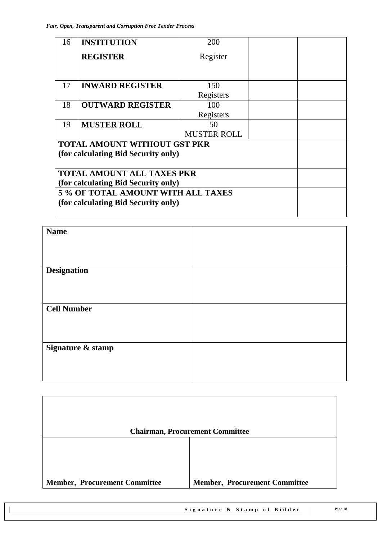| 16 | <b>INSTITUTION</b>                  | 200                |  |
|----|-------------------------------------|--------------------|--|
|    | <b>REGISTER</b>                     | Register           |  |
|    |                                     |                    |  |
| 17 | <b>INWARD REGISTER</b>              | 150                |  |
|    |                                     |                    |  |
|    |                                     | Registers          |  |
| 18 | <b>OUTWARD REGISTER</b>             | 100                |  |
|    |                                     | Registers          |  |
| 19 | <b>MUSTER ROLL</b>                  | 50                 |  |
|    |                                     | <b>MUSTER ROLL</b> |  |
|    | <b>TOTAL AMOUNT WITHOUT GST PKR</b> |                    |  |
|    | (for calculating Bid Security only) |                    |  |
|    |                                     |                    |  |
|    | <b>TOTAL AMOUNT ALL TAXES PKR</b>   |                    |  |
|    | (for calculating Bid Security only) |                    |  |
|    | 5 % OF TOTAL AMOUNT WITH ALL TAXES  |                    |  |
|    | (for calculating Bid Security only) |                    |  |
|    |                                     |                    |  |
|    |                                     |                    |  |

| <b>Name</b>        |  |
|--------------------|--|
|                    |  |
|                    |  |
|                    |  |
|                    |  |
| <b>Designation</b> |  |
|                    |  |
|                    |  |
|                    |  |
|                    |  |
| <b>Cell Number</b> |  |
|                    |  |
|                    |  |
|                    |  |
|                    |  |
|                    |  |
| Signature & stamp  |  |
|                    |  |
|                    |  |
|                    |  |
|                    |  |

|                                      | <b>Chairman, Procurement Committee</b> |
|--------------------------------------|----------------------------------------|
|                                      |                                        |
|                                      |                                        |
|                                      |                                        |
| <b>Member, Procurement Committee</b> | <b>Member, Procurement Committee</b>   |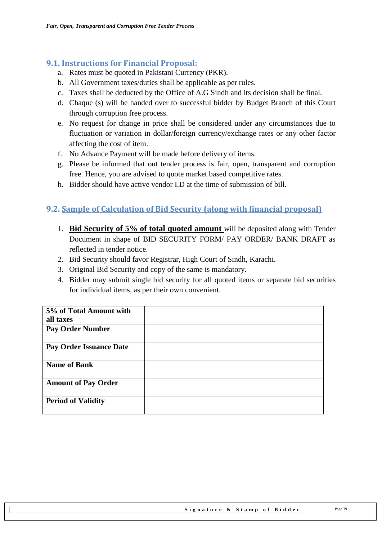## <span id="page-18-0"></span>**9.1. Instructions for Financial Proposal:**

- a. Rates must be quoted in Pakistani Currency (PKR).
- b. All Government taxes/duties shall be applicable as per rules.
- c. Taxes shall be deducted by the Office of A.G Sindh and its decision shall be final.
- d. Chaque (s) will be handed over to successful bidder by Budget Branch of this Court through corruption free process.
- e. No request for change in price shall be considered under any circumstances due to fluctuation or variation in dollar/foreign currency/exchange rates or any other factor affecting the cost of item.
- f. No Advance Payment will be made before delivery of items.
- g. Please be informed that out tender process is fair, open, transparent and corruption free. Hence, you are advised to quote market based competitive rates.
- h. Bidder should have active vendor I.D at the time of submission of bill.

## <span id="page-18-1"></span>**9.2. Sample of Calculation of Bid Security (along with financial proposal)**

- 1. **Bid Security of 5% of total quoted amount** will be deposited along with Tender Document in shape of BID SECURITY FORM/ PAY ORDER/ BANK DRAFT as reflected in tender notice.
- 2. Bid Security should favor Registrar, High Court of Sindh, Karachi.
- 3. Original Bid Security and copy of the same is mandatory.
- 4. Bidder may submit single bid security for all quoted items or separate bid securities for individual items, as per their own convenient.

| 5% of Total Amount with    |  |
|----------------------------|--|
| all taxes                  |  |
| <b>Pay Order Number</b>    |  |
| Pay Order Issuance Date    |  |
| <b>Name of Bank</b>        |  |
| <b>Amount of Pay Order</b> |  |
| <b>Period of Validity</b>  |  |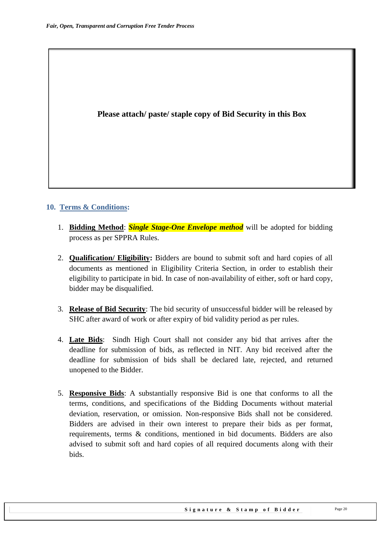### **Please attach/ paste/ staple copy of Bid Security in this Box**

#### <span id="page-19-0"></span>**10. Terms & Conditions:**

- 1. **Bidding Method**: *Single Stage-One Envelope method* will be adopted for bidding process as per SPPRA Rules.
- 2. **Qualification/ Eligibility:** Bidders are bound to submit soft and hard copies of all documents as mentioned in Eligibility Criteria Section, in order to establish their eligibility to participate in bid. In case of non-availability of either, soft or hard copy, bidder may be disqualified.
- 3. **Release of Bid Security**: The bid security of unsuccessful bidder will be released by SHC after award of work or after expiry of bid validity period as per rules.
- 4. **Late Bids**: Sindh High Court shall not consider any bid that arrives after the deadline for submission of bids, as reflected in NIT. Any bid received after the deadline for submission of bids shall be declared late, rejected, and returned unopened to the Bidder.
- 5. **Responsive Bids**: A substantially responsive Bid is one that conforms to all the terms, conditions, and specifications of the Bidding Documents without material deviation, reservation, or omission. Non-responsive Bids shall not be considered. Bidders are advised in their own interest to prepare their bids as per format, requirements, terms & conditions, mentioned in bid documents. Bidders are also advised to submit soft and hard copies of all required documents along with their bids.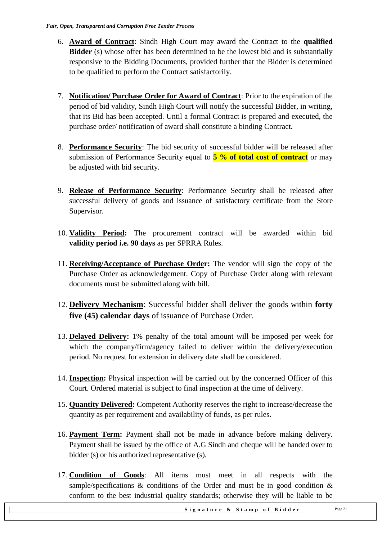- 6. **Award of Contract**: Sindh High Court may award the Contract to the **qualified Bidder** (s) whose offer has been determined to be the lowest bid and is substantially responsive to the Bidding Documents, provided further that the Bidder is determined to be qualified to perform the Contract satisfactorily.
- 7. **Notification/ Purchase Order for Award of Contract**: Prior to the expiration of the period of bid validity, Sindh High Court will notify the successful Bidder, in writing, that its Bid has been accepted. Until a formal Contract is prepared and executed, the purchase order/ notification of award shall constitute a binding Contract.
- 8. **Performance Security**: The bid security of successful bidder will be released after submission of Performance Security equal to **5 % of total cost of contract** or may be adjusted with bid security.
- 9. **Release of Performance Security**: Performance Security shall be released after successful delivery of goods and issuance of satisfactory certificate from the Store Supervisor.
- 10. **Validity Period:** The procurement contract will be awarded within bid **validity period i.e. 90 days** as per SPRRA Rules.
- 11. **Receiving/Acceptance of Purchase Order:** The vendor will sign the copy of the Purchase Order as acknowledgement. Copy of Purchase Order along with relevant documents must be submitted along with bill.
- 12. **Delivery Mechanism**: Successful bidder shall deliver the goods within **forty five (45) calendar days** of issuance of Purchase Order.
- 13. **Delayed Delivery:** 1% penalty of the total amount will be imposed per week for which the company/firm/agency failed to deliver within the delivery/execution period. No request for extension in delivery date shall be considered.
- 14. **Inspection:** Physical inspection will be carried out by the concerned Officer of this Court. Ordered material is subject to final inspection at the time of delivery.
- 15. **Quantity Delivered:** Competent Authority reserves the right to increase/decrease the quantity as per requirement and availability of funds, as per rules.
- 16. **Payment Term:** Payment shall not be made in advance before making delivery. Payment shall be issued by the office of A.G Sindh and cheque will be handed over to bidder (s) or his authorized representative (s).
- 17. **Condition of Goods**: All items must meet in all respects with the sample/specifications  $\&$  conditions of the Order and must be in good condition  $\&$ conform to the best industrial quality standards; otherwise they will be liable to be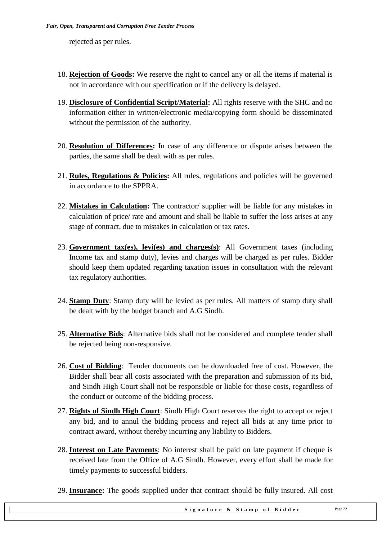rejected as per rules.

- 18. **Rejection of Goods:** We reserve the right to cancel any or all the items if material is not in accordance with our specification or if the delivery is delayed.
- 19. **Disclosure of Confidential Script/Material:** All rights reserve with the SHC and no information either in written/electronic media/copying form should be disseminated without the permission of the authority.
- 20. **Resolution of Differences:** In case of any difference or dispute arises between the parties, the same shall be dealt with as per rules.
- 21. **Rules, Regulations & Policies:** All rules, regulations and policies will be governed in accordance to the SPPRA.
- 22. **Mistakes in Calculation:** The contractor/ supplier will be liable for any mistakes in calculation of price/ rate and amount and shall be liable to suffer the loss arises at any stage of contract, due to mistakes in calculation or tax rates.
- 23. **Government tax(es), levi(es) and charges(s)**: All Government taxes (including Income tax and stamp duty), levies and charges will be charged as per rules. Bidder should keep them updated regarding taxation issues in consultation with the relevant tax regulatory authorities.
- 24. **Stamp Duty**: Stamp duty will be levied as per rules. All matters of stamp duty shall be dealt with by the budget branch and A.G Sindh.
- 25. **Alternative Bids**: Alternative bids shall not be considered and complete tender shall be rejected being non-responsive.
- 26. **Cost of Bidding**: Tender documents can be downloaded free of cost. However, the Bidder shall bear all costs associated with the preparation and submission of its bid, and Sindh High Court shall not be responsible or liable for those costs, regardless of the conduct or outcome of the bidding process.
- 27. **Rights of Sindh High Court**: Sindh High Court reserves the right to accept or reject any bid, and to annul the bidding process and reject all bids at any time prior to contract award, without thereby incurring any liability to Bidders.
- 28. **Interest on Late Payments**: No interest shall be paid on late payment if cheque is received late from the Office of A.G Sindh. However, every effort shall be made for timely payments to successful bidders.
- 29. **Insurance:** The goods supplied under that contract should be fully insured. All cost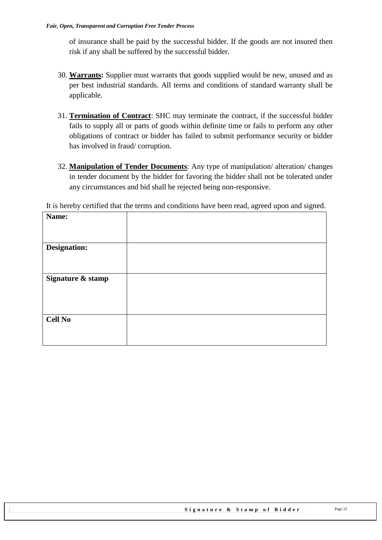of insurance shall be paid by the successful bidder. If the goods are not insured then risk if any shall be suffered by the successful bidder.

- 30. **Warrants:** Supplier must warrants that goods supplied would be new, unused and as per best industrial standards. All terms and conditions of standard warranty shall be applicable.
- 31. **Termination of Contract**: SHC may terminate the contract, if the successful bidder fails to supply all or parts of goods within definite time or fails to perform any other obligations of contract or bidder has failed to submit performance security or bidder has involved in fraud/ corruption.
- 32. **Manipulation of Tender Documents**: Any type of manipulation/ alteration/ changes in tender document by the bidder for favoring the bidder shall not be tolerated under any circumstances and bid shall be rejected being non-responsive.

|  | It is hereby certified that the terms and conditions have been read, agreed upon and signed. |  |  |  |  |
|--|----------------------------------------------------------------------------------------------|--|--|--|--|
|  |                                                                                              |  |  |  |  |

| Name:               |  |
|---------------------|--|
| <b>Designation:</b> |  |
| Signature & stamp   |  |
|                     |  |
| <b>Cell No</b>      |  |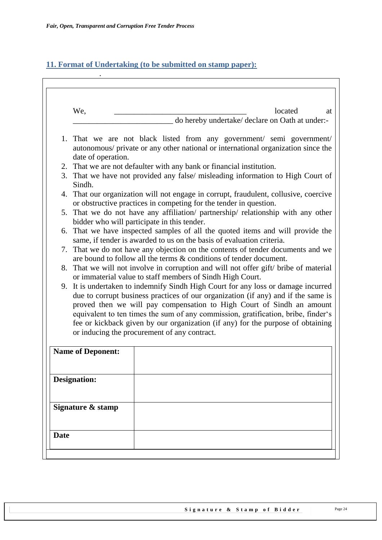.

## <span id="page-23-0"></span>**11. Format of Undertaking (to be submitted on stamp paper):**

|             | We,                                                                                                                                                                                                                                                                                                                                                                                                                                                                     |  | located<br>at                                   |
|-------------|-------------------------------------------------------------------------------------------------------------------------------------------------------------------------------------------------------------------------------------------------------------------------------------------------------------------------------------------------------------------------------------------------------------------------------------------------------------------------|--|-------------------------------------------------|
|             |                                                                                                                                                                                                                                                                                                                                                                                                                                                                         |  | do hereby undertake/ declare on Oath at under:- |
|             | 1. That we are not black listed from any government/ semi government/<br>autonomous/ private or any other national or international organization since the<br>date of operation.                                                                                                                                                                                                                                                                                        |  |                                                 |
|             | 2. That we are not defaulter with any bank or financial institution.                                                                                                                                                                                                                                                                                                                                                                                                    |  |                                                 |
|             | 3. That we have not provided any false/ misleading information to High Court of<br>Sindh.                                                                                                                                                                                                                                                                                                                                                                               |  |                                                 |
|             | 4. That our organization will not engage in corrupt, fraudulent, collusive, coercive<br>or obstructive practices in competing for the tender in question.                                                                                                                                                                                                                                                                                                               |  |                                                 |
|             | 5. That we do not have any affiliation/ partnership/ relationship with any other<br>bidder who will participate in this tender.                                                                                                                                                                                                                                                                                                                                         |  |                                                 |
|             | 6. That we have inspected samples of all the quoted items and will provide the<br>same, if tender is awarded to us on the basis of evaluation criteria.                                                                                                                                                                                                                                                                                                                 |  |                                                 |
|             | 7. That we do not have any objection on the contents of tender documents and we<br>are bound to follow all the terms & conditions of tender document.                                                                                                                                                                                                                                                                                                                   |  |                                                 |
|             | 8. That we will not involve in corruption and will not offer gift/ bribe of material<br>or immaterial value to staff members of Sindh High Court.                                                                                                                                                                                                                                                                                                                       |  |                                                 |
|             | 9. It is undertaken to indemnify Sindh High Court for any loss or damage incurred<br>due to corrupt business practices of our organization (if any) and if the same is<br>proved then we will pay compensation to High Court of Sindh an amount<br>equivalent to ten times the sum of any commission, gratification, bribe, finder's<br>fee or kickback given by our organization (if any) for the purpose of obtaining<br>or inducing the procurement of any contract. |  |                                                 |
|             | <b>Name of Deponent:</b>                                                                                                                                                                                                                                                                                                                                                                                                                                                |  |                                                 |
|             | <b>Designation:</b>                                                                                                                                                                                                                                                                                                                                                                                                                                                     |  |                                                 |
|             | Signature & stamp                                                                                                                                                                                                                                                                                                                                                                                                                                                       |  |                                                 |
|             |                                                                                                                                                                                                                                                                                                                                                                                                                                                                         |  |                                                 |
| <b>Date</b> |                                                                                                                                                                                                                                                                                                                                                                                                                                                                         |  |                                                 |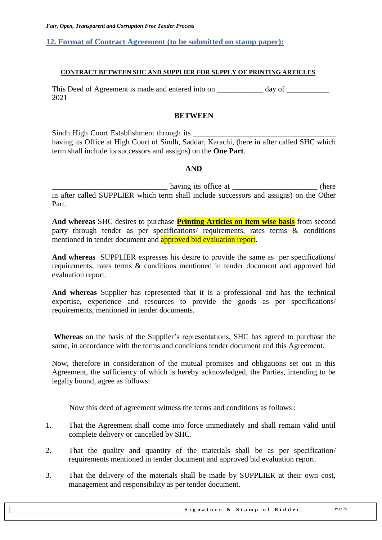#### <span id="page-24-0"></span>**12. Format of Contract Agreement (to be submitted on stamp paper):**

#### **CONTRACT BETWEEN SHC AND SUPPLIER FOR SUPPLY OF PRINTING ARTICLES**

This Deed of Agreement is made and entered into on day of  $\alpha$ 2021

#### **BETWEEN**

Sindh High Court Establishment through its \_\_\_\_\_\_\_\_\_\_\_\_\_\_\_\_\_\_\_\_\_\_\_\_\_\_\_\_\_\_\_\_\_\_\_\_\_ having its Office at High Court of Sindh, Saddar, Karachi, (here in after called SHC which term shall include its successors and assigns) on the **One Part**.

#### **AND**

having its office at \_\_\_\_\_\_\_\_\_\_\_\_\_\_\_\_\_\_\_\_\_\_\_\_\_\_(here in after called SUPPLIER which term shall include successors and assigns) on the Other Part.

**And whereas** SHC desires to purchase **Printing Articles on item wise basis** from second party through tender as per specifications/ requirements, rates terms & conditions mentioned in tender document and approved bid evaluation report.

**And whereas** SUPPLIER expresses his desire to provide the same as per specifications/ requirements, rates terms & conditions mentioned in tender document and approved bid evaluation report.

**And whereas** Supplier has represented that it is a professional and has the technical expertise, experience and resources to provide the goods as per specifications/ requirements, mentioned in tender documents.

Whereas on the basis of the Supplier's representations, SHC has agreed to purchase the same, in accordance with the terms and conditions tender document and this Agreement.

Now, therefore in consideration of the mutual promises and obligations set out in this Agreement, the sufficiency of which is hereby acknowledged, the Parties, intending to be legally bound, agree as follows:

Now this deed of agreement witness the terms and conditions as follows :

- 1. That the Agreement shall come into force immediately and shall remain valid until complete delivery or cancelled by SHC.
- 2. That the quality and quantity of the materials shall be as per specification/ requirements mentioned in tender document and approved bid evaluation report.
- 3. That the delivery of the materials shall be made by SUPPLIER at their own cost, management and responsibility as per tender document.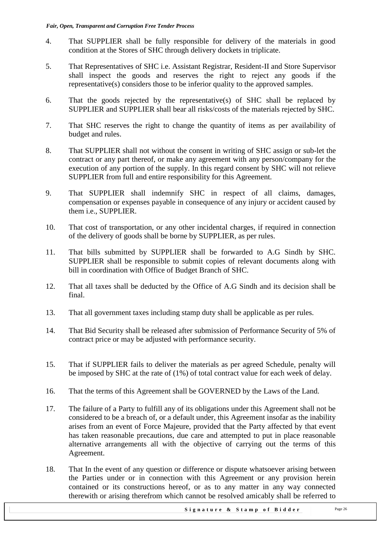- 4. That SUPPLIER shall be fully responsible for delivery of the materials in good condition at the Stores of SHC through delivery dockets in triplicate.
- 5. That Representatives of SHC i.e. Assistant Registrar, Resident-II and Store Supervisor shall inspect the goods and reserves the right to reject any goods if the representative(s) considers those to be inferior quality to the approved samples.
- 6. That the goods rejected by the representative(s) of SHC shall be replaced by SUPPLIER and SUPPLIER shall bear all risks/costs of the materials rejected by SHC.
- 7. That SHC reserves the right to change the quantity of items as per availability of budget and rules.
- 8. That SUPPLIER shall not without the consent in writing of SHC assign or sub-let the contract or any part thereof, or make any agreement with any person/company for the execution of any portion of the supply. In this regard consent by SHC will not relieve SUPPLIER from full and entire responsibility for this Agreement.
- 9. That SUPPLIER shall indemnify SHC in respect of all claims, damages, compensation or expenses payable in consequence of any injury or accident caused by them i.e., SUPPLIER.
- 10. That cost of transportation, or any other incidental charges, if required in connection of the delivery of goods shall be borne by SUPPLIER, as per rules.
- 11. That bills submitted by SUPPLIER shall be forwarded to A.G Sindh by SHC. SUPPLIER shall be responsible to submit copies of relevant documents along with bill in coordination with Office of Budget Branch of SHC.
- 12. That all taxes shall be deducted by the Office of A.G Sindh and its decision shall be final.
- 13. That all government taxes including stamp duty shall be applicable as per rules.
- 14. That Bid Security shall be released after submission of Performance Security of 5% of contract price or may be adjusted with performance security.
- 15. That if SUPPLIER fails to deliver the materials as per agreed Schedule, penalty will be imposed by SHC at the rate of (1%) of total contract value for each week of delay.
- 16. That the terms of this Agreement shall be GOVERNED by the Laws of the Land.
- 17. The failure of a Party to fulfill any of its obligations under this Agreement shall not be considered to be a breach of, or a default under, this Agreement insofar as the inability arises from an event of Force Majeure, provided that the Party affected by that event has taken reasonable precautions, due care and attempted to put in place reasonable alternative arrangements all with the objective of carrying out the terms of this Agreement.
- 18. That In the event of any question or difference or dispute whatsoever arising between the Parties under or in connection with this Agreement or any provision herein contained or its constructions hereof, or as to any matter in any way connected therewith or arising therefrom which cannot be resolved amicably shall be referred to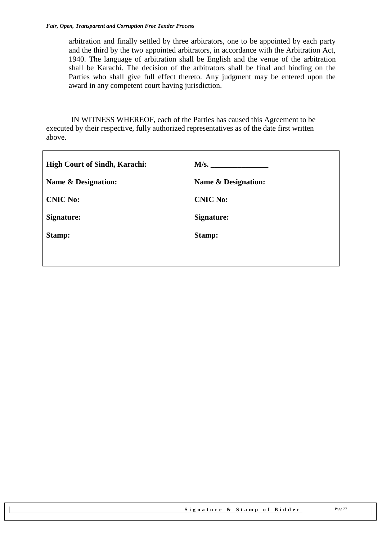arbitration and finally settled by three arbitrators, one to be appointed by each party and the third by the two appointed arbitrators, in accordance with the Arbitration Act, 1940. The language of arbitration shall be English and the venue of the arbitration shall be Karachi. The decision of the arbitrators shall be final and binding on the Parties who shall give full effect thereto. Any judgment may be entered upon the award in any competent court having jurisdiction.

 IN WITNESS WHEREOF, each of the Parties has caused this Agreement to be executed by their respective, fully authorized representatives as of the date first written above.

| M/s.                           |
|--------------------------------|
| <b>Name &amp; Designation:</b> |
| <b>CNIC No:</b>                |
| <b>Signature:</b>              |
| Stamp:                         |
|                                |
|                                |